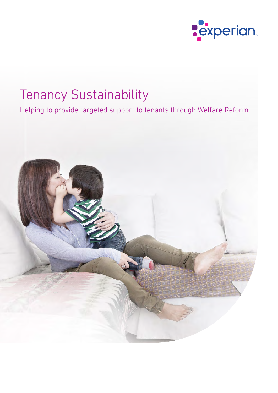

# Tenancy Sustainability

Helping to provide targeted support to tenants through Welfare Reform

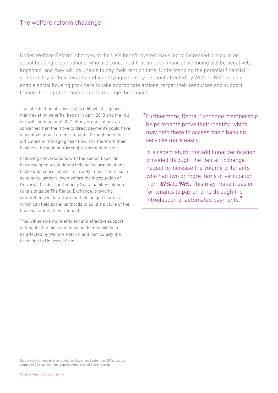## The welfare reform challenge

Under Welfare Reform, changes to the UK's benefit system have led to increased pressure on social housing organisations, who are concerned that tenants financial wellbeing will be negatively impacted, and they will be unable to pay their rent on time. Understanding the potential financial vulnerability of their tenants and identifying who may be most affected by Welfare Reform can enable social housing providers to take appropriate actions, target their resources and support tenants through the change and to manage the impact.

The introduction of Universal Credit, which replaces many existing benefits, began in April 2013 and the roll out will continue until 2021. Many organisations are concerned that the move to direct payments could have a negative impact on their tenants, through potential difficulties in managing cash flow, and therefore their business, through non/irregular-payment of rent.

Following conversations with the sector, Experian has developed a solution to help social organisations tackle debt concerns which already impact them, such as tenants' arrears, even before the introduction of Universal Credit. The Tenancy Sustainability solution runs alongside The Rental Exchange, providing comprehensive data from multiple unique sources, which can help social landlords to build a picture of the financial status of their tenants.

This will enable more efficient and effective support of tenants, families and households most likely to be affected by Welfare Reform and particularly the transition to Universal Credit.

"Furthermore, Rental Exchange membership helps tenants prove their identity, which may help them to access basic banking services more easily.

In a recent study, the additional verification provided through The Rental Exchange helped to increase the volume of tenants who had two or more items of verification from 67% to 94%. This may make it easier for tenants to pay on time through the introduction of automated payments."

Statistics from research conducted by Experian, September 2016, using a sample of 20 organisations, representing circa 650,000 records.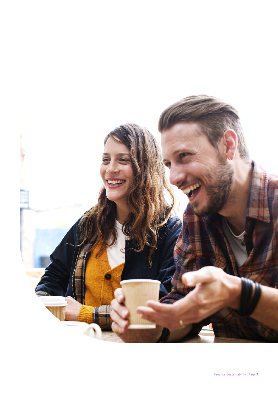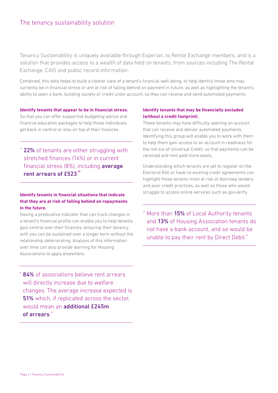Tenancy Sustainability is uniquely available through Experian, to Rental Exchange members, and is a solution that provides access to a wealth of data held on tenants, from sources including The Rental Exchange, CAIS and public record information.

Combined, this data helps to build a clearer view of a tenant's financial well-being, to help identify those who may currently be in financial stress or are at risk of falling behind on payment in future, as well as highlighting the tenant's ability to open a bank, building society or credit union account; so they can receive and send automated payments.

**Identify tenants that appear to be in financial stress.** So that you can offer supportive budgeting advice and financial education packages to help those individuals get back in control or stay on top of their finances.

" 22% of tenants are either struggling with stretched finances (14%) or in current financial stress (8%), including **average** rent arrears of £523."

### **Identify tenants in financial situations that indicate that they are at risk of falling behind on repayments in the future.**

Having a predicative indicator that can track changes in a tenant's financial profile can enable you to help tenants gain control over their finances, ensuring their tenancy with you can be sustained over a longer term without the relationship deteriorating. Analysis of this information over time can also provide learning for Housing Associations to apply elsewhere.

" 84% of associations believe rent arrears will directly increase due to welfare changes. The average increase expected is **51%** which, if replicated across the sector, would mean an additional £245m of arrears."

#### **Identify tenants that may be financially excluded (without a credit footprint).**

These tenants may have difficulty opening an account that can receive and deliver automated payments. Identifying this group will enable you to work with them to help them gain access to an account in readiness for the roll out of Universal Credit, so that payments can be received and rent paid more easily.

Understanding which tenants are yet to register on the Electoral Roll or have no existing credit agreements can highlight those tenants most at risk of doorstep lenders and poor credit practices, as well as those who would struggle to access online services such as gov.verify.

" More than 15% of Local Authority tenants and 13% of Housing Association tenants do not have a bank account, and so would be unable to pay their rent by Direct Debit."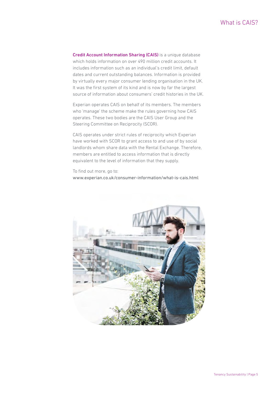Credit Account Information Sharing (CAIS) is a unique database which holds information on over 490 million credit accounts. It includes information such as an individual's credit limit, default dates and current outstanding balances. Information is provided by virtually every major consumer lending organisation in the UK. It was the first system of its kind and is now by far the largest source of information about consumers' credit histories in the UK.

Experian operates CAIS on behalf of its members. The members who 'manage' the scheme make the rules governing how CAIS operates. These two bodies are the CAIS User Group and the Steering Committee on Reciprocity (SCOR).

CAIS operates under strict rules of reciprocity which Experian have worked with SCOR to grant access to and use of by social landlords whom share data with the Rental Exchange. Therefore, members are entitled to access information that is directly equivalent to the level of information that they supply.

To find out more, go to:

www.experian.co.uk/consumer-information/what-is-cais.html

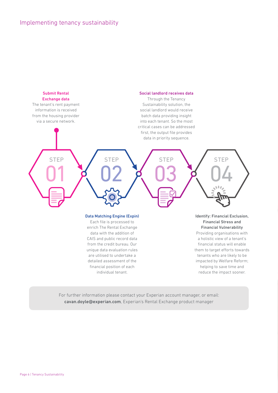## Implementing tenancy sustainability



For further information please contact your Experian account manager, or email: cavan.doyle@experian.com, Experian's Rental Exchange product manager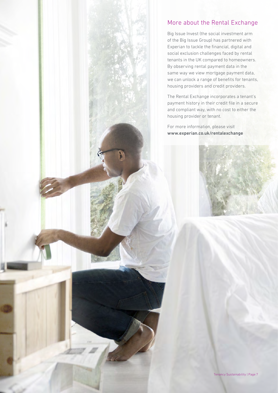# More about the Rental Exchange

Big Issue Invest (the social investment arm of the Big Issue Group) has partnered with Experian to tackle the financial, digital and social exclusion challenges faced by rental tenants in the UK compared to homeowners. By observing rental payment data in the same way we view mortgage payment data, we can unlock a range of benefits for tenants, housing providers and credit providers.

The Rental Exchange incorporates a tenant's payment history in their credit file in a secure and compliant way, with no cost to either the housing provider or tenant.

For more information, please visit www.experian.co.uk/rentalexchange